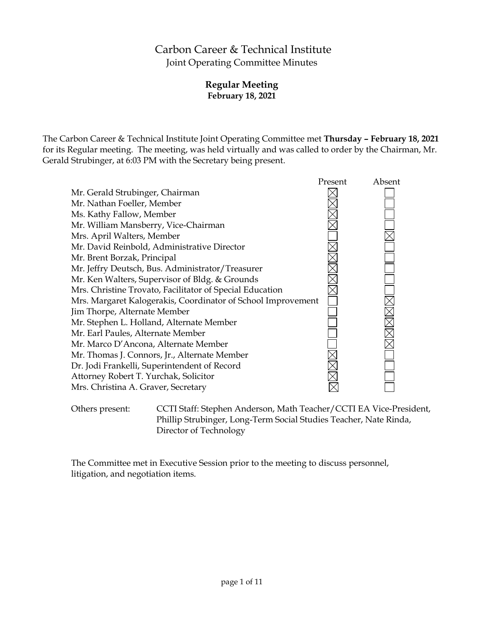# Carbon Career & Technical Institute Joint Operating Committee Minutes

## **Regular Meeting February 18, 2021**

The Carbon Career & Technical Institute Joint Operating Committee met **Thursday – February 18, 2021** for its Regular meeting. The meeting, was held virtually and was called to order by the Chairman, Mr. Gerald Strubinger, at 6:03 PM with the Secretary being present.

|                                                              | Present | Absent |
|--------------------------------------------------------------|---------|--------|
| Mr. Gerald Strubinger, Chairman                              |         |        |
| Mr. Nathan Foeller, Member                                   |         |        |
| Ms. Kathy Fallow, Member                                     |         |        |
| Mr. William Mansberry, Vice-Chairman                         |         |        |
| Mrs. April Walters, Member                                   |         |        |
| Mr. David Reinbold, Administrative Director                  |         |        |
| Mr. Brent Borzak, Principal                                  |         |        |
| Mr. Jeffry Deutsch, Bus. Administrator/Treasurer             |         |        |
| Mr. Ken Walters, Supervisor of Bldg. & Grounds               |         |        |
| Mrs. Christine Trovato, Facilitator of Special Education     |         |        |
| Mrs. Margaret Kalogerakis, Coordinator of School Improvement |         |        |
| Jim Thorpe, Alternate Member                                 |         |        |
| Mr. Stephen L. Holland, Alternate Member                     |         |        |
| Mr. Earl Paules, Alternate Member                            |         |        |
| Mr. Marco D'Ancona, Alternate Member                         |         |        |
| Mr. Thomas J. Connors, Jr., Alternate Member                 |         |        |
| Dr. Jodi Frankelli, Superintendent of Record                 |         |        |
| Attorney Robert T. Yurchak, Solicitor                        |         |        |
| Mrs. Christina A. Graver, Secretary                          |         |        |
|                                                              |         |        |

Others present: CCTI Staff: Stephen Anderson, Math Teacher/CCTI EA Vice-President, Phillip Strubinger, Long-Term Social Studies Teacher, Nate Rinda, Director of Technology

The Committee met in Executive Session prior to the meeting to discuss personnel, litigation, and negotiation items.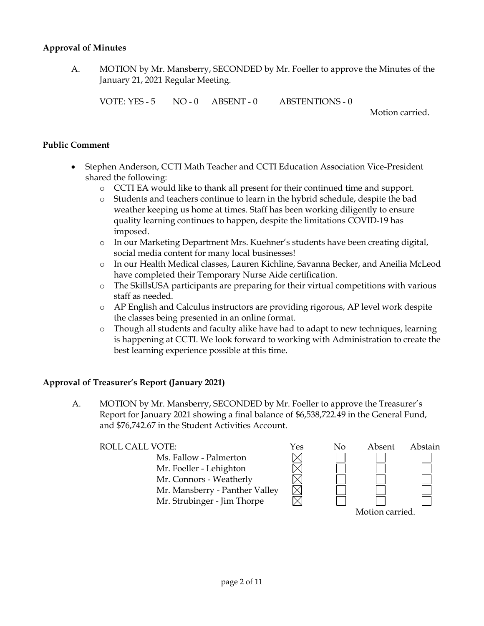## **Approval of Minutes**

A. MOTION by Mr. Mansberry, SECONDED by Mr. Foeller to approve the Minutes of the January 21, 2021 Regular Meeting.

VOTE: YES - 5 NO - 0 ABSENT - 0 ABSTENTIONS - 0

Motion carried.

## **Public Comment**

- Stephen Anderson, CCTI Math Teacher and CCTI Education Association Vice-President shared the following:
	- o CCTI EA would like to thank all present for their continued time and support.
	- o Students and teachers continue to learn in the hybrid schedule, despite the bad weather keeping us home at times. Staff has been working diligently to ensure quality learning continues to happen, despite the limitations COVID-19 has imposed.
	- o In our Marketing Department Mrs. Kuehner's students have been creating digital, social media content for many local businesses!
	- o In our Health Medical classes, Lauren Kichline, Savanna Becker, and Aneilia McLeod have completed their Temporary Nurse Aide certification.
	- o The SkillsUSA participants are preparing for their virtual competitions with various staff as needed.
	- o AP English and Calculus instructors are providing rigorous, AP level work despite the classes being presented in an online format.
	- o Though all students and faculty alike have had to adapt to new techniques, learning is happening at CCTI. We look forward to working with Administration to create the best learning experience possible at this time.

## **Approval of Treasurer's Report (January 2021)**

A. MOTION by Mr. Mansberry, SECONDED by Mr. Foeller to approve the Treasurer's Report for January 2021 showing a final balance of \$6,538,722.49 in the General Fund, and \$76,742.67 in the Student Activities Account.

| ROLL CALL VOTE:                | Yes | No | Absent          | Abstain |
|--------------------------------|-----|----|-----------------|---------|
| Ms. Fallow - Palmerton         |     |    |                 |         |
| Mr. Foeller - Lehighton        |     |    |                 |         |
| Mr. Connors - Weatherly        |     |    |                 |         |
| Mr. Mansberry - Panther Valley |     |    |                 |         |
| Mr. Strubinger - Jim Thorpe    |     |    |                 |         |
|                                |     |    | Motion carried. |         |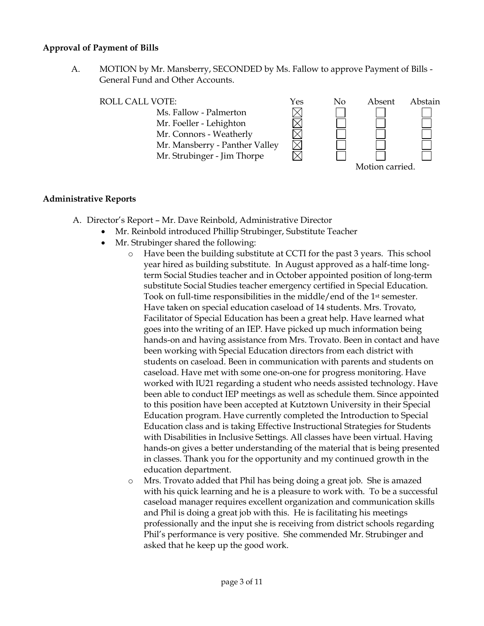#### **Approval of Payment of Bills**

A. MOTION by Mr. Mansberry, SECONDED by Ms. Fallow to approve Payment of Bills - General Fund and Other Accounts.

ROLL CALL VOTE:<br>
Ms. Fallow - Palmerton<br>
Mr. Foeller - Lehighton<br>
Mr. Connors - Weatherly Ms. Fallow - Palmerton Mr. Foeller - Lehighton Mr. Connors - Weatherly Mr. Mansberry - Panther Valley Mr. Strubinger - Jim Thorpe Motion carried.

## **Administrative Reports**

- A. Director's Report Mr. Dave Reinbold, Administrative Director
	- Mr. Reinbold introduced Phillip Strubinger, Substitute Teacher
		- Mr. Strubinger shared the following:
			- o Have been the building substitute at CCTI for the past 3 years. This school year hired as building substitute. In August approved as a half-time longterm Social Studies teacher and in October appointed position of long-term substitute Social Studies teacher emergency certified in Special Education. Took on full-time responsibilities in the middle/end of the 1st semester. Have taken on special education caseload of 14 students. Mrs. Trovato, Facilitator of Special Education has been a great help. Have learned what goes into the writing of an IEP. Have picked up much information being hands-on and having assistance from Mrs. Trovato. Been in contact and have been working with Special Education directors from each district with students on caseload. Been in communication with parents and students on caseload. Have met with some one-on-one for progress monitoring. Have worked with IU21 regarding a student who needs assisted technology. Have been able to conduct IEP meetings as well as schedule them. Since appointed to this position have been accepted at Kutztown University in their Special Education program. Have currently completed the Introduction to Special Education class and is taking Effective Instructional Strategies for Students with Disabilities in Inclusive Settings. All classes have been virtual. Having hands-on gives a better understanding of the material that is being presented in classes. Thank you for the opportunity and my continued growth in the education department.
			- o Mrs. Trovato added that Phil has being doing a great job. She is amazed with his quick learning and he is a pleasure to work with. To be a successful caseload manager requires excellent organization and communication skills and Phil is doing a great job with this. He is facilitating his meetings professionally and the input she is receiving from district schools regarding Phil's performance is very positive. She commended Mr. Strubinger and asked that he keep up the good work.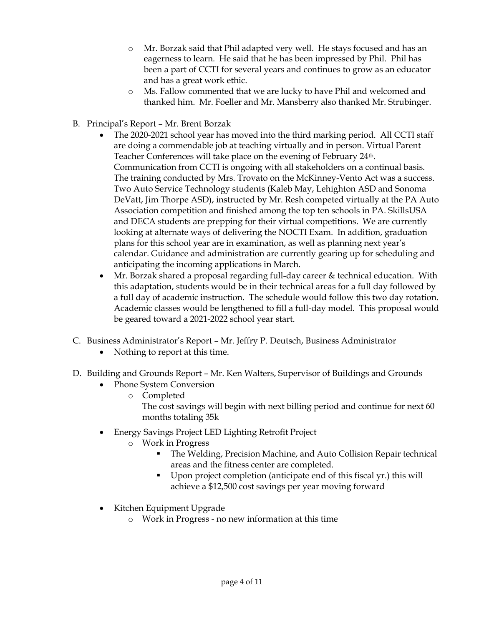- o Mr. Borzak said that Phil adapted very well. He stays focused and has an eagerness to learn. He said that he has been impressed by Phil. Phil has been a part of CCTI for several years and continues to grow as an educator and has a great work ethic.
- o Ms. Fallow commented that we are lucky to have Phil and welcomed and thanked him. Mr. Foeller and Mr. Mansberry also thanked Mr. Strubinger.
- B. Principal's Report Mr. Brent Borzak
	- The 2020-2021 school year has moved into the third marking period. All CCTI staff are doing a commendable job at teaching virtually and in person. Virtual Parent Teacher Conferences will take place on the evening of February 24th. Communication from CCTI is ongoing with all stakeholders on a continual basis. The training conducted by Mrs. Trovato on the McKinney-Vento Act was a success. Two Auto Service Technology students (Kaleb May, Lehighton ASD and Sonoma DeVatt, Jim Thorpe ASD), instructed by Mr. Resh competed virtually at the PA Auto Association competition and finished among the top ten schools in PA. SkillsUSA and DECA students are prepping for their virtual competitions. We are currently looking at alternate ways of delivering the NOCTI Exam. In addition, graduation plans for this school year are in examination, as well as planning next year's calendar. Guidance and administration are currently gearing up for scheduling and anticipating the incoming applications in March.
	- Mr. Borzak shared a proposal regarding full-day career & technical education. With this adaptation, students would be in their technical areas for a full day followed by a full day of academic instruction. The schedule would follow this two day rotation. Academic classes would be lengthened to fill a full-day model. This proposal would be geared toward a 2021-2022 school year start.
- C. Business Administrator's Report Mr. Jeffry P. Deutsch, Business Administrator
	- Nothing to report at this time.
- D. Building and Grounds Report Mr. Ken Walters, Supervisor of Buildings and Grounds
	- Phone System Conversion
		- o Completed The cost savings will begin with next billing period and continue for next 60 months totaling 35k
	- Energy Savings Project LED Lighting Retrofit Project
		- o Work in Progress
			- The Welding, Precision Machine, and Auto Collision Repair technical areas and the fitness center are completed.
			- Upon project completion (anticipate end of this fiscal yr.) this will achieve a \$12,500 cost savings per year moving forward
	- Kitchen Equipment Upgrade
		- o Work in Progress no new information at this time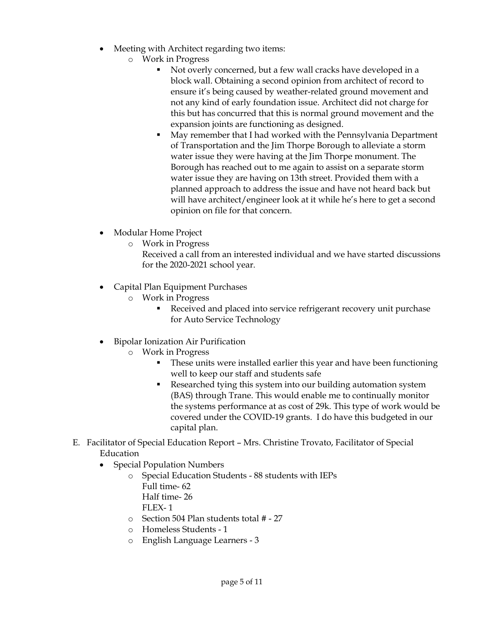- Meeting with Architect regarding two items:
	- o Work in Progress
		- Not overly concerned, but a few wall cracks have developed in a block wall. Obtaining a second opinion from architect of record to ensure it's being caused by weather-related ground movement and not any kind of early foundation issue. Architect did not charge for this but has concurred that this is normal ground movement and the expansion joints are functioning as designed.
		- May remember that I had worked with the Pennsylvania Department of Transportation and the Jim Thorpe Borough to alleviate a storm water issue they were having at the Jim Thorpe monument. The Borough has reached out to me again to assist on a separate storm water issue they are having on 13th street. Provided them with a planned approach to address the issue and have not heard back but will have architect/engineer look at it while he's here to get a second opinion on file for that concern.
- Modular Home Project
	- o Work in Progress

Received a call from an interested individual and we have started discussions for the 2020-2021 school year.

- Capital Plan Equipment Purchases
	- o Work in Progress
		- Received and placed into service refrigerant recovery unit purchase for Auto Service Technology
- Bipolar Ionization Air Purification
	- o Work in Progress
		- These units were installed earlier this year and have been functioning well to keep our staff and students safe
		- Researched tying this system into our building automation system (BAS) through Trane. This would enable me to continually monitor the systems performance at as cost of 29k. This type of work would be covered under the COVID-19 grants. I do have this budgeted in our capital plan.
- E. Facilitator of Special Education Report Mrs. Christine Trovato, Facilitator of Special Education
	- Special Population Numbers
		- o Special Education Students 88 students with IEPs Full time- 62 Half time- 26
			- FLEX- 1
		- o Section 504 Plan students total # 27
		- o Homeless Students 1
		- o English Language Learners 3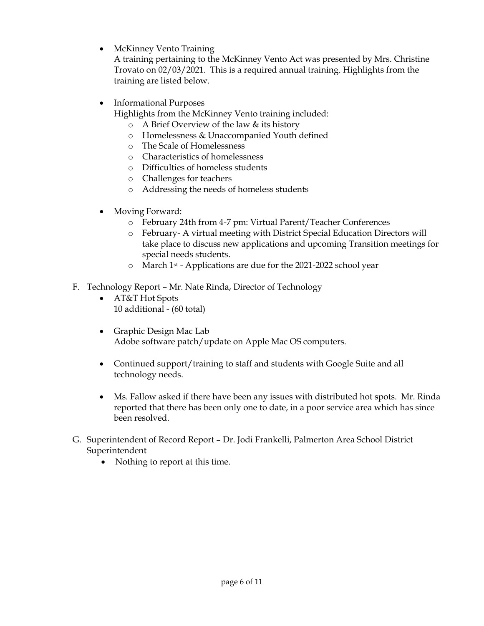• McKinney Vento Training

A training pertaining to the McKinney Vento Act was presented by Mrs. Christine Trovato on 02/03/2021. This is a required annual training. Highlights from the training are listed below.

• Informational Purposes

Highlights from the McKinney Vento training included:

- o A Brief Overview of the law & its history
- o Homelessness & Unaccompanied Youth defined
- o The Scale of Homelessness
- o Characteristics of homelessness
- o Difficulties of homeless students
- o Challenges for teachers
- o Addressing the needs of homeless students
- Moving Forward:
	- o February 24th from 4-7 pm: Virtual Parent/Teacher Conferences
	- o February- A virtual meeting with District Special Education Directors will take place to discuss new applications and upcoming Transition meetings for special needs students.
	- o March 1st Applications are due for the 2021-2022 school year
- F. Technology Report Mr. Nate Rinda, Director of Technology
	- AT&T Hot Spots 10 additional - (60 total)
	- Graphic Design Mac Lab Adobe software patch/update on Apple Mac OS computers.
	- Continued support/training to staff and students with Google Suite and all technology needs.
	- Ms. Fallow asked if there have been any issues with distributed hot spots. Mr. Rinda reported that there has been only one to date, in a poor service area which has since been resolved.
- G. Superintendent of Record Report Dr. Jodi Frankelli, Palmerton Area School District Superintendent
	- Nothing to report at this time.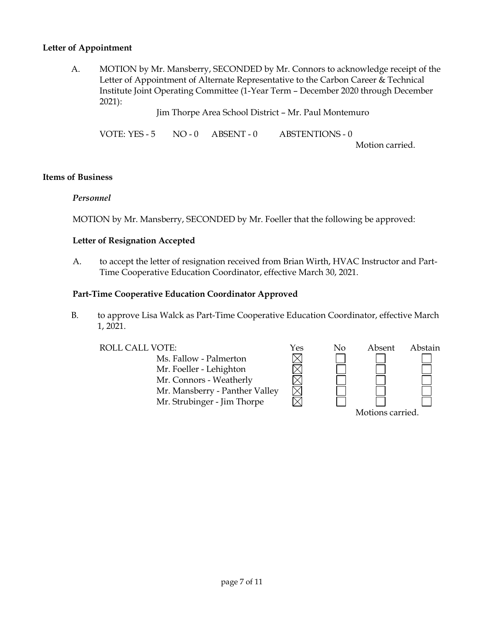## **Letter of Appointment**

A. MOTION by Mr. Mansberry, SECONDED by Mr. Connors to acknowledge receipt of the Letter of Appointment of Alternate Representative to the Carbon Career & Technical Institute Joint Operating Committee (1-Year Term – December 2020 through December 2021):

Jim Thorpe Area School District – Mr. Paul Montemuro

VOTE: YES - 5 NO - 0 ABSENT - 0 ABSTENTIONS - 0

Motion carried.

#### **Items of Business**

#### *Personnel*

MOTION by Mr. Mansberry, SECONDED by Mr. Foeller that the following be approved:

#### **Letter of Resignation Accepted**

A. to accept the letter of resignation received from Brian Wirth, HVAC Instructor and Part-Time Cooperative Education Coordinator, effective March 30, 2021.

#### **Part-Time Cooperative Education Coordinator Approved**

B. to approve Lisa Walck as Part-Time Cooperative Education Coordinator, effective March 1, 2021.

ROLL CALL VOTE:<br>
Ms. Fallow - Palmerton<br>
Mr. Foeller - Lehighton<br>
Mr. Connors - Weatherly Ms. Fallow - Palmerton Mr. Foeller - Lehighton Mr. Connors - Weatherly Mr. Mansberry - Panther Valley Mr. Strubinger - Jim Thorpe Motions carried.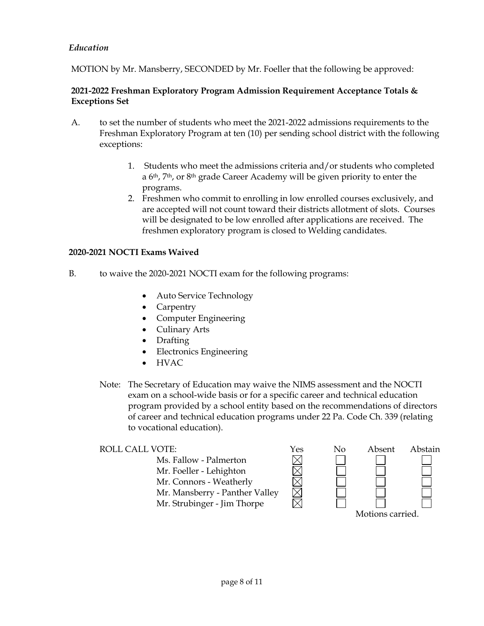## *Education*

MOTION by Mr. Mansberry, SECONDED by Mr. Foeller that the following be approved:

## **2021-2022 Freshman Exploratory Program Admission Requirement Acceptance Totals & Exceptions Set**

- A. to set the number of students who meet the 2021-2022 admissions requirements to the Freshman Exploratory Program at ten (10) per sending school district with the following exceptions:
	- 1. Students who meet the admissions criteria and/or students who completed a 6th, 7th, or 8th grade Career Academy will be given priority to enter the programs.
	- 2. Freshmen who commit to enrolling in low enrolled courses exclusively, and are accepted will not count toward their districts allotment of slots. Courses will be designated to be low enrolled after applications are received. The freshmen exploratory program is closed to Welding candidates.

#### **2020-2021 NOCTI Exams Waived**

- B. to waive the 2020-2021 NOCTI exam for the following programs:
	- Auto Service Technology
	- Carpentry
	- Computer Engineering
	- Culinary Arts
	- Drafting
	- Electronics Engineering
	- $\bullet$  HVAC
	- Note: The Secretary of Education may waive the NIMS assessment and the NOCTI exam on a school-wide basis or for a specific career and technical education program provided by a school entity based on the recommendations of directors of career and technical education programs under 22 Pa. Code Ch. 339 (relating to vocational education).

| ROLL CALL VOTE:                | Yes | No | Absent           | Abstain |
|--------------------------------|-----|----|------------------|---------|
| Ms. Fallow - Palmerton         |     |    |                  |         |
| Mr. Foeller - Lehighton        |     |    |                  |         |
| Mr. Connors - Weatherly        |     |    |                  |         |
| Mr. Mansberry - Panther Valley |     |    |                  |         |
| Mr. Strubinger - Jim Thorpe    |     |    |                  |         |
|                                |     |    | Motions carried. |         |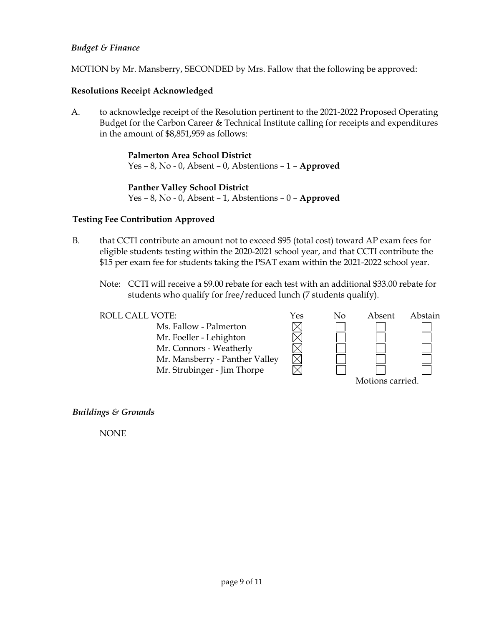## *Budget & Finance*

MOTION by Mr. Mansberry, SECONDED by Mrs. Fallow that the following be approved:

## **Resolutions Receipt Acknowledged**

A. to acknowledge receipt of the Resolution pertinent to the 2021-2022 Proposed Operating Budget for the Carbon Career & Technical Institute calling for receipts and expenditures in the amount of \$8,851,959 as follows:

> **Palmerton Area School District** Yes – 8, No - 0, Absent – 0, Abstentions – 1 – **Approved**

> **Panther Valley School District** Yes – 8, No - 0, Absent – 1, Abstentions – 0 – **Approved**

## **Testing Fee Contribution Approved**

- B. that CCTI contribute an amount not to exceed \$95 (total cost) toward AP exam fees for eligible students testing within the 2020-2021 school year, and that CCTI contribute the \$15 per exam fee for students taking the PSAT exam within the 2021-2022 school year.
	- Note: CCTI will receive a \$9.00 rebate for each test with an additional \$33.00 rebate for students who qualify for free/reduced lunch (7 students qualify).

XMMMM

ROLL CALL VOTE:  $\gamma$ es

Ms. Fallow - Palmerton Mr. Foeller - Lehighton Mr. Connors - Weatherly Mr. Mansberry - Panther Valley Mr. Strubinger - Jim Thorpe

| No | Absent           | Abstain |
|----|------------------|---------|
|    |                  |         |
|    |                  |         |
|    |                  |         |
|    |                  |         |
|    |                  |         |
|    | Motions carried. |         |

*Buildings & Grounds*

NONE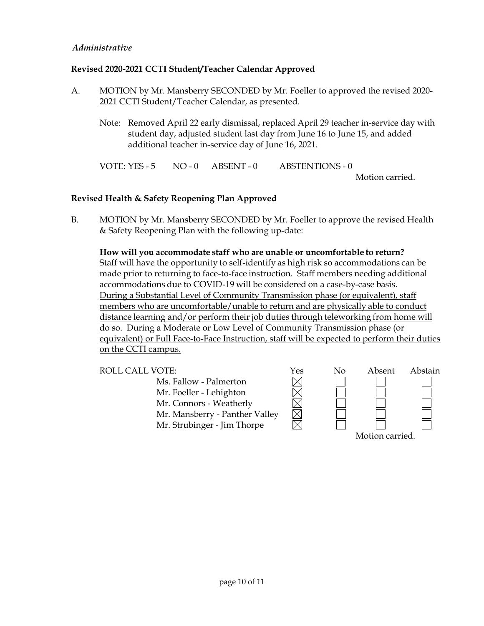## *Administrative*

## **Revised 2020-2021 CCTI Student/Teacher Calendar Approved**

- A. MOTION by Mr. Mansberry SECONDED by Mr. Foeller to approved the revised 2020- 2021 CCTI Student/Teacher Calendar, as presented.
	- Note: Removed April 22 early dismissal, replaced April 29 teacher in-service day with student day, adjusted student last day from June 16 to June 15, and added additional teacher in-service day of June 16, 2021.

VOTE: YES - 5 NO - 0 ABSENT - 0 ABSTENTIONS - 0

Motion carried.

## **Revised Health & Safety Reopening Plan Approved**

B. MOTION by Mr. Mansberry SECONDED by Mr. Foeller to approve the revised Health & Safety Reopening Plan with the following up-date:

**How will you accommodate staff who are unable or uncomfortable to return?** Staff will have the opportunity to self-identify as high risk so accommodations can be made prior to returning to face-to-face instruction. Staff members needing additional accommodations due to COVID-19 will be considered on a case-by-case basis. During a Substantial Level of Community Transmission phase (or equivalent), staff members who are uncomfortable/unable to return and are physically able to conduct distance learning and/or perform their job duties through teleworking from home will do so. During a Moderate or Low Level of Community Transmission phase (or equivalent) or Full Face-to-Face Instruction, staff will be expected to perform their duties on the CCTI campus.



Motion carried.